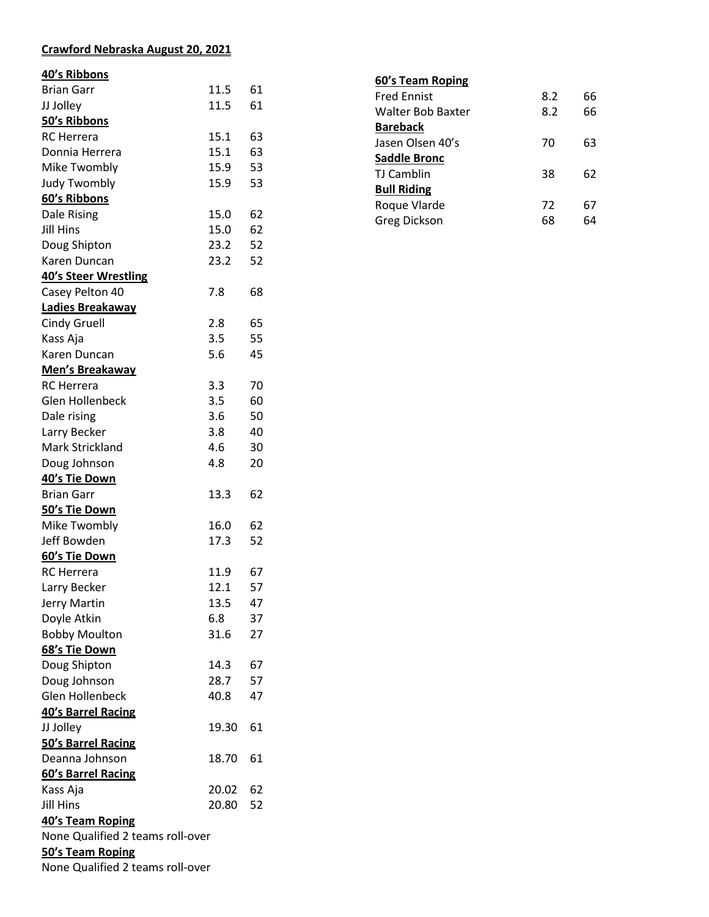## **Crawford Nebraska August 20, 2021**

## **40's Ribbons**

| <b>Brian Garr</b>                | 11.5  | 61 |  |  |
|----------------------------------|-------|----|--|--|
| JJ Jolley                        | 11.5  | 61 |  |  |
| 50's Ribbons                     |       |    |  |  |
| <b>RC</b> Herrera                | 15.1  | 63 |  |  |
| Donnia Herrera                   | 15.1  | 63 |  |  |
| Mike Twombly                     | 15.9  | 53 |  |  |
| <b>Judy Twombly</b>              | 15.9  | 53 |  |  |
| 60's Ribbons                     |       |    |  |  |
| Dale Rising                      | 15.0  | 62 |  |  |
| Jill Hins                        | 15.0  | 62 |  |  |
| Doug Shipton                     | 23.2  | 52 |  |  |
| Karen Duncan                     | 23.2  | 52 |  |  |
| <b>40's Steer Wrestling</b>      |       |    |  |  |
| Casey Pelton 40                  | 7.8   | 68 |  |  |
| Ladies Breakaway                 |       |    |  |  |
| <b>Cindy Gruell</b>              | 2.8   | 65 |  |  |
| Kass Aja                         | 3.5   | 55 |  |  |
| Karen Duncan                     | 5.6   | 45 |  |  |
| <b>Men's Breakaway</b>           |       |    |  |  |
| <b>RC</b> Herrera                | 3.3   | 70 |  |  |
| Glen Hollenbeck                  | 3.5   | 60 |  |  |
| Dale rising                      | 3.6   | 50 |  |  |
| Larry Becker                     | 3.8   | 40 |  |  |
| Mark Strickland                  | 4.6   | 30 |  |  |
| Doug Johnson                     | 4.8   | 20 |  |  |
| 40's Tie Down                    |       |    |  |  |
| <b>Brian Garr</b>                | 13.3  | 62 |  |  |
|                                  |       |    |  |  |
| 50's Tie Down                    | 16.0  | 62 |  |  |
| Mike Twombly<br>Jeff Bowden      | 17.3  | 52 |  |  |
|                                  |       |    |  |  |
| 60's Tie Down                    |       |    |  |  |
| <b>RC</b> Herrera                | 11.9  | 67 |  |  |
| Larry Becker                     | 12.1  | 57 |  |  |
| Jerry Martin                     | 13.5  | 47 |  |  |
| Doyle Atkin                      | 6.8   | 37 |  |  |
| <b>Bobby Moulton</b>             | 31.6  | 27 |  |  |
| 68's Tie Down                    |       |    |  |  |
| Doug Shipton                     | 14.3  | 67 |  |  |
| Doug Johnson                     | 28.7  | 57 |  |  |
| Glen Hollenbeck                  | 40.8  | 47 |  |  |
| 40's Barrel Racing               |       |    |  |  |
| JJ Jolley                        | 19.30 | 61 |  |  |
| 50's Barrel Racing               |       |    |  |  |
| Deanna Johnson                   | 18.70 | 61 |  |  |
| 60's Barrel Racing               |       |    |  |  |
| Kass Aja                         | 20.02 | 62 |  |  |
| <b>Jill Hins</b>                 | 20.80 | 52 |  |  |
| 40's Team Roping                 |       |    |  |  |
| None Qualified 2 teams roll-over |       |    |  |  |
| 50's Team Roping                 |       |    |  |  |
| None Qualified 2 teams roll-over |       |    |  |  |

| 60's Team Roping    |     |    |
|---------------------|-----|----|
| <b>Fred Ennist</b>  | 8.2 | 66 |
| Walter Bob Baxter   | 8.2 | 66 |
| <b>Bareback</b>     |     |    |
| Jasen Olsen 40's    | 70  | 63 |
| <b>Saddle Bronc</b> |     |    |
| TJ Camblin          | 38  | 62 |
| <b>Bull Riding</b>  |     |    |
| Roque Vlarde        | 72  | 67 |
| <b>Greg Dickson</b> | 68  | 64 |
|                     |     |    |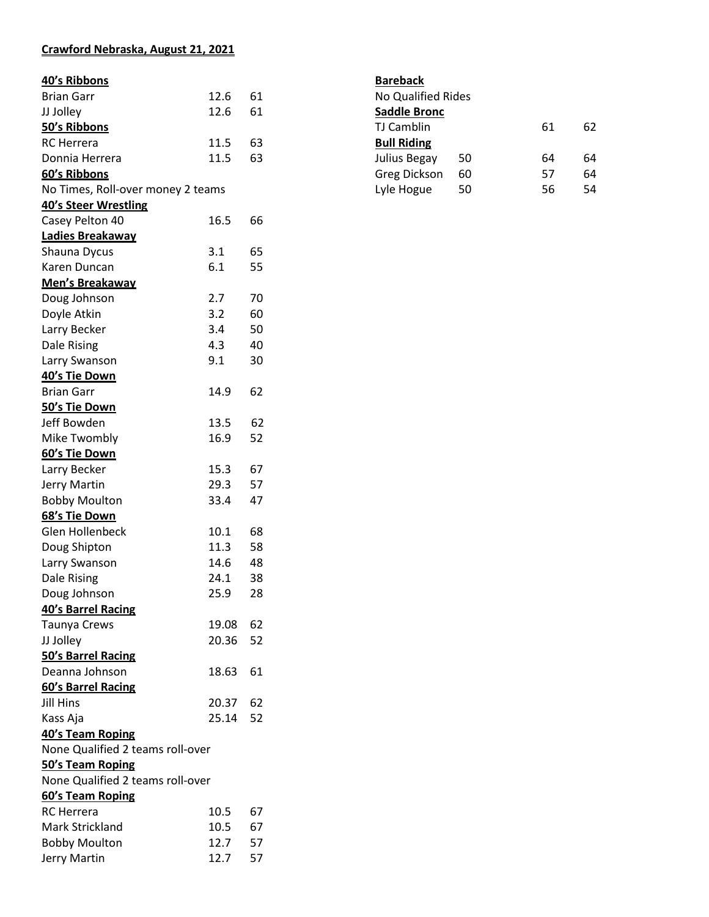## **Crawford Nebraska, August 21, 2021**

| 40's Ribbons                      |       |    |  |
|-----------------------------------|-------|----|--|
| <b>Brian Garr</b>                 | 12.6  | 61 |  |
| JJ Jolley                         | 12.6  | 61 |  |
| 50's Ribbons                      |       |    |  |
| <b>RC</b> Herrera                 | 11.5  | 63 |  |
| Donnia Herrera                    | 11.5  | 63 |  |
| 60's Ribbons                      |       |    |  |
| No Times, Roll-over money 2 teams |       |    |  |
| 40's Steer Wrestling              |       |    |  |
| Casey Pelton 40                   | 16.5  | 66 |  |
| Ladies Breakaway                  |       |    |  |
| Shauna Dycus                      | 3.1   | 65 |  |
| Karen Duncan                      | 6.1   | 55 |  |
| <b>Men's Breakaway</b>            |       |    |  |
| Doug Johnson                      | 2.7   | 70 |  |
| Doyle Atkin                       | 3.2   | 60 |  |
| Larry Becker                      | 3.4   | 50 |  |
| Dale Rising                       | 4.3   | 40 |  |
| Larry Swanson                     | 9.1   | 30 |  |
| 40's Tie Down                     |       |    |  |
| <b>Brian Garr</b>                 | 14.9  | 62 |  |
| 50's Tie Down                     |       |    |  |
| Jeff Bowden                       | 13.5  | 62 |  |
| Mike Twombly                      | 16.9  | 52 |  |
| 60's Tie Down                     |       |    |  |
| Larry Becker                      | 15.3  | 67 |  |
| <b>Jerry Martin</b>               | 29.3  | 57 |  |
| <b>Bobby Moulton</b>              | 33.4  | 47 |  |
| 68's Tie Down                     |       |    |  |
| Glen Hollenbeck                   | 10.1  | 68 |  |
| Doug Shipton                      | 11.3  | 58 |  |
| Larry Swanson                     | 14.6  | 48 |  |
| <b>Dale Rising</b>                | 24.1  | 38 |  |
| Doug Johnson                      | 25.9  | 28 |  |
| 40's Barrel Racing                |       |    |  |
| Taunya Crews                      | 19.08 | 62 |  |
| JJ Jolley                         | 20.36 | 52 |  |
| 50's Barrel Racing                |       |    |  |
| Deanna Johnson                    | 18.63 | 61 |  |
| 60's Barrel Racing                |       |    |  |
| <b>Jill Hins</b>                  | 20.37 | 62 |  |
| Kass Aja                          | 25.14 | 52 |  |
| 40's Team Roping                  |       |    |  |
| None Qualified 2 teams roll-over  |       |    |  |
| 50's Team Roping                  |       |    |  |
| None Qualified 2 teams roll-over  |       |    |  |
| 60's Team Roping                  |       |    |  |
| <b>RC</b> Herrera                 | 10.5  | 67 |  |
| <b>Mark Strickland</b>            | 10.5  | 67 |  |
| <b>Bobby Moulton</b>              | 12.7  | 57 |  |
| Jerry Martin                      | 12.7  | 57 |  |
|                                   |       |    |  |

| <b>Bareback</b>           |    |    |    |
|---------------------------|----|----|----|
| <b>No Qualified Rides</b> |    |    |    |
| Saddle Bronc              |    |    |    |
| <b>TJ Camblin</b>         |    | 61 | 62 |
| <b>Bull Riding</b>        |    |    |    |
| Julius Begay              | 50 | 64 | 64 |
| <b>Greg Dickson</b>       | 60 | 57 | 64 |
| Lyle Hogue                | 50 | 56 | 54 |
|                           |    |    |    |